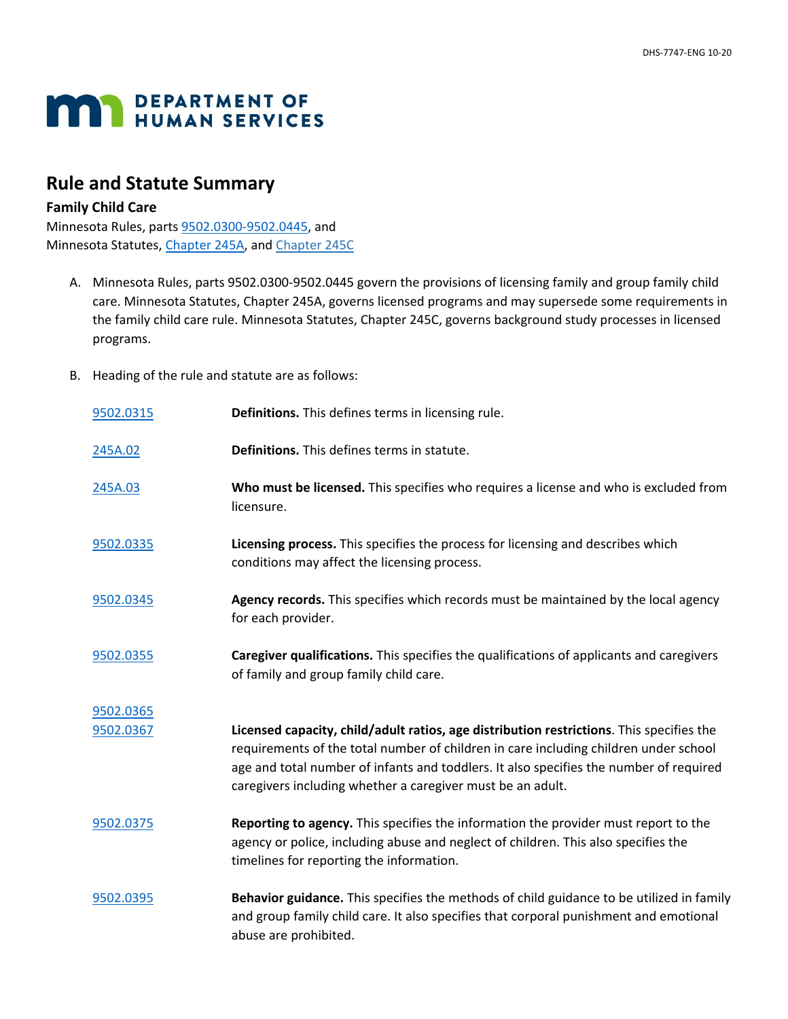## **MAN** DEPARTMENT OF

## **Rule and Statute Summary**

## **Family Child Care**

Minnesota Rules, parts [9502.0300-9502.0445,](https://www.revisor.mn.gov/rules/9502/version/2016-04-13T16:37:27-05:00) and Minnesota Statutes[, Chapter 245A,](https://www.revisor.mn.gov/statutes/cite/245A) and [Chapter 245C](https://www.revisor.mn.gov/statutes/cite/245C)

- A. Minnesota Rules, parts 9502.0300-9502.0445 govern the provisions of licensing family and group family child care. Minnesota Statutes, Chapter 245A, governs licensed programs and may supersede some requirements in the family child care rule. Minnesota Statutes, Chapter 245C, governs background study processes in licensed programs.
- B. Heading of the rule and statute are as follows:

| 9502.0315 | Definitions. This defines terms in licensing rule.                                                                                                                                                                                                                                                                                       |
|-----------|------------------------------------------------------------------------------------------------------------------------------------------------------------------------------------------------------------------------------------------------------------------------------------------------------------------------------------------|
| 245A.02   | Definitions. This defines terms in statute.                                                                                                                                                                                                                                                                                              |
| 245A.03   | Who must be licensed. This specifies who requires a license and who is excluded from<br>licensure.                                                                                                                                                                                                                                       |
| 9502.0335 | Licensing process. This specifies the process for licensing and describes which<br>conditions may affect the licensing process.                                                                                                                                                                                                          |
| 9502.0345 | Agency records. This specifies which records must be maintained by the local agency<br>for each provider.                                                                                                                                                                                                                                |
| 9502.0355 | Caregiver qualifications. This specifies the qualifications of applicants and caregivers<br>of family and group family child care.                                                                                                                                                                                                       |
| 9502.0365 |                                                                                                                                                                                                                                                                                                                                          |
| 9502.0367 | Licensed capacity, child/adult ratios, age distribution restrictions. This specifies the<br>requirements of the total number of children in care including children under school<br>age and total number of infants and toddlers. It also specifies the number of required<br>caregivers including whether a caregiver must be an adult. |
| 9502.0375 | Reporting to agency. This specifies the information the provider must report to the<br>agency or police, including abuse and neglect of children. This also specifies the<br>timelines for reporting the information.                                                                                                                    |
| 9502.0395 | Behavior guidance. This specifies the methods of child guidance to be utilized in family<br>and group family child care. It also specifies that corporal punishment and emotional<br>abuse are prohibited.                                                                                                                               |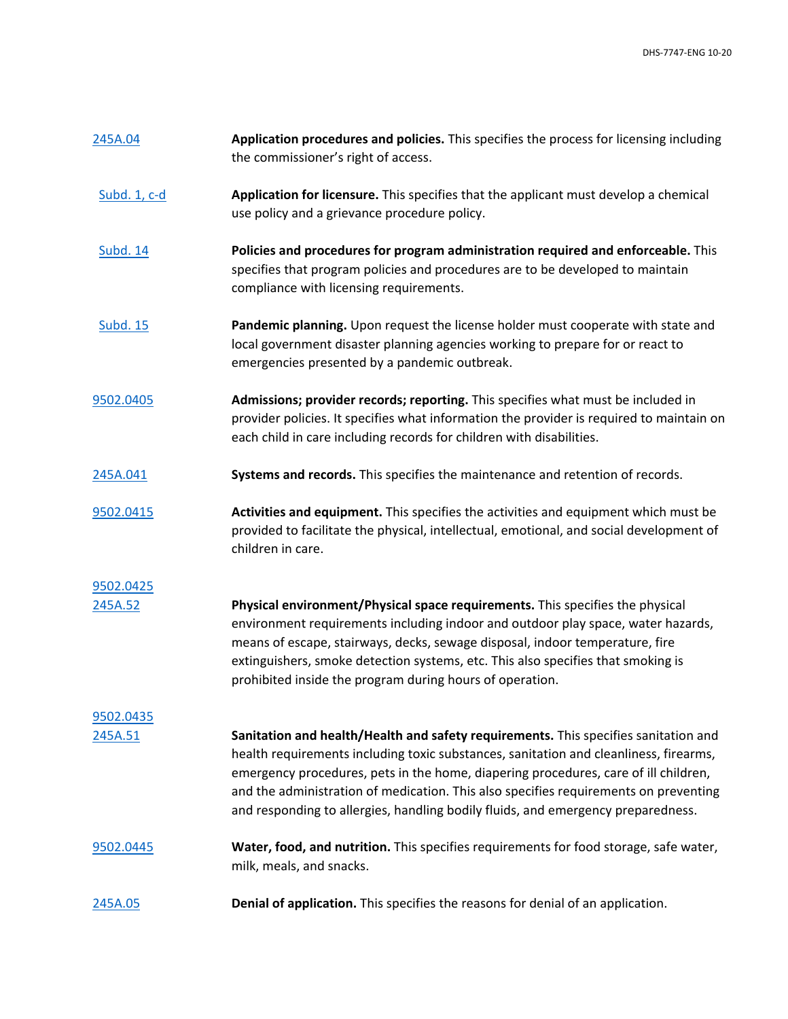| 245A.04         | Application procedures and policies. This specifies the process for licensing including<br>the commissioner's right of access.                                                                                                                                                                                                                                                                                                                  |
|-----------------|-------------------------------------------------------------------------------------------------------------------------------------------------------------------------------------------------------------------------------------------------------------------------------------------------------------------------------------------------------------------------------------------------------------------------------------------------|
| Subd. 1, c-d    | Application for licensure. This specifies that the applicant must develop a chemical<br>use policy and a grievance procedure policy.                                                                                                                                                                                                                                                                                                            |
| <b>Subd. 14</b> | Policies and procedures for program administration required and enforceable. This<br>specifies that program policies and procedures are to be developed to maintain<br>compliance with licensing requirements.                                                                                                                                                                                                                                  |
| <b>Subd. 15</b> | Pandemic planning. Upon request the license holder must cooperate with state and<br>local government disaster planning agencies working to prepare for or react to<br>emergencies presented by a pandemic outbreak.                                                                                                                                                                                                                             |
| 9502.0405       | Admissions; provider records; reporting. This specifies what must be included in<br>provider policies. It specifies what information the provider is required to maintain on<br>each child in care including records for children with disabilities.                                                                                                                                                                                            |
| 245A.041        | Systems and records. This specifies the maintenance and retention of records.                                                                                                                                                                                                                                                                                                                                                                   |
| 9502.0415       | Activities and equipment. This specifies the activities and equipment which must be<br>provided to facilitate the physical, intellectual, emotional, and social development of<br>children in care.                                                                                                                                                                                                                                             |
| 9502.0425       |                                                                                                                                                                                                                                                                                                                                                                                                                                                 |
| 245A.52         | Physical environment/Physical space requirements. This specifies the physical<br>environment requirements including indoor and outdoor play space, water hazards,<br>means of escape, stairways, decks, sewage disposal, indoor temperature, fire<br>extinguishers, smoke detection systems, etc. This also specifies that smoking is<br>prohibited inside the program during hours of operation.                                               |
| 9502.0435       |                                                                                                                                                                                                                                                                                                                                                                                                                                                 |
| 245A.51         | Sanitation and health/Health and safety requirements. This specifies sanitation and<br>health requirements including toxic substances, sanitation and cleanliness, firearms,<br>emergency procedures, pets in the home, diapering procedures, care of ill children,<br>and the administration of medication. This also specifies requirements on preventing<br>and responding to allergies, handling bodily fluids, and emergency preparedness. |
| 9502.0445       | Water, food, and nutrition. This specifies requirements for food storage, safe water,<br>milk, meals, and snacks.                                                                                                                                                                                                                                                                                                                               |
| 245A.05         | Denial of application. This specifies the reasons for denial of an application.                                                                                                                                                                                                                                                                                                                                                                 |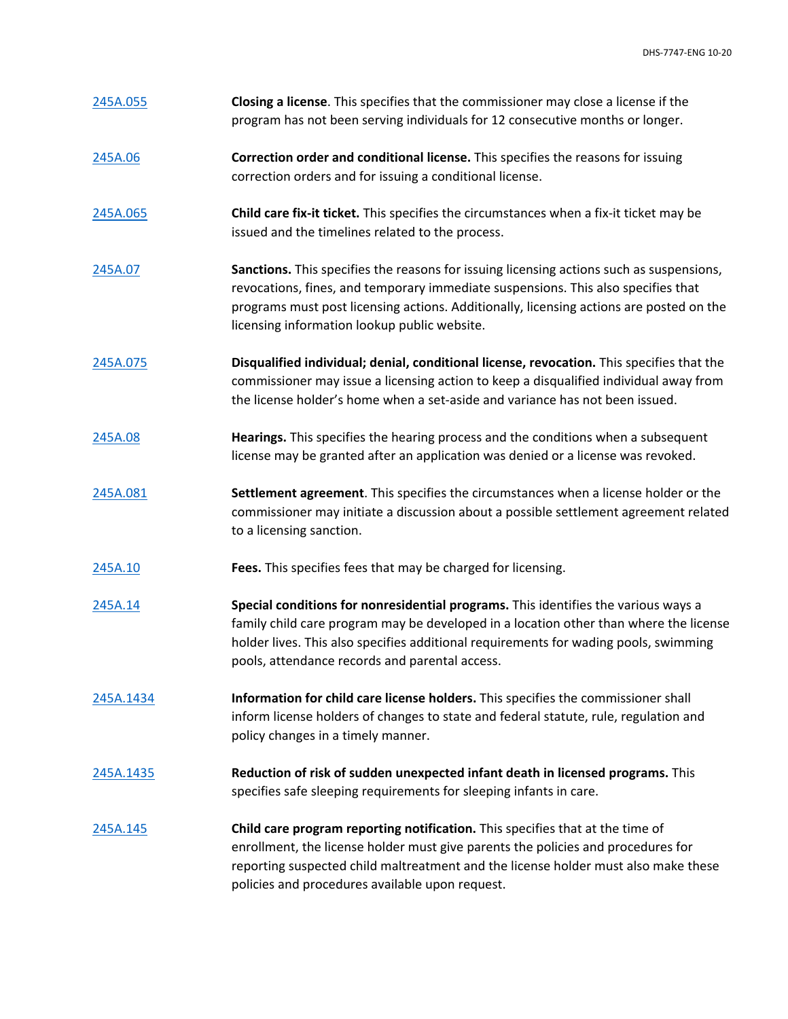| 245A.055  | Closing a license. This specifies that the commissioner may close a license if the<br>program has not been serving individuals for 12 consecutive months or longer.                                                                                                                                                      |
|-----------|--------------------------------------------------------------------------------------------------------------------------------------------------------------------------------------------------------------------------------------------------------------------------------------------------------------------------|
| 245A.06   | Correction order and conditional license. This specifies the reasons for issuing<br>correction orders and for issuing a conditional license.                                                                                                                                                                             |
| 245A.065  | Child care fix-it ticket. This specifies the circumstances when a fix-it ticket may be<br>issued and the timelines related to the process.                                                                                                                                                                               |
| 245A.07   | Sanctions. This specifies the reasons for issuing licensing actions such as suspensions,<br>revocations, fines, and temporary immediate suspensions. This also specifies that<br>programs must post licensing actions. Additionally, licensing actions are posted on the<br>licensing information lookup public website. |
| 245A.075  | Disqualified individual; denial, conditional license, revocation. This specifies that the<br>commissioner may issue a licensing action to keep a disqualified individual away from<br>the license holder's home when a set-aside and variance has not been issued.                                                       |
| 245A.08   | Hearings. This specifies the hearing process and the conditions when a subsequent<br>license may be granted after an application was denied or a license was revoked.                                                                                                                                                    |
| 245A.081  | Settlement agreement. This specifies the circumstances when a license holder or the<br>commissioner may initiate a discussion about a possible settlement agreement related<br>to a licensing sanction.                                                                                                                  |
| 245A.10   | Fees. This specifies fees that may be charged for licensing.                                                                                                                                                                                                                                                             |
| 245A.14   | Special conditions for nonresidential programs. This identifies the various ways a<br>family child care program may be developed in a location other than where the license<br>holder lives. This also specifies additional requirements for wading pools, swimming<br>pools, attendance records and parental access.    |
| 245A.1434 | Information for child care license holders. This specifies the commissioner shall<br>inform license holders of changes to state and federal statute, rule, regulation and<br>policy changes in a timely manner.                                                                                                          |
| 245A.1435 | Reduction of risk of sudden unexpected infant death in licensed programs. This<br>specifies safe sleeping requirements for sleeping infants in care.                                                                                                                                                                     |
| 245A.145  | Child care program reporting notification. This specifies that at the time of<br>enrollment, the license holder must give parents the policies and procedures for<br>reporting suspected child maltreatment and the license holder must also make these<br>policies and procedures available upon request.               |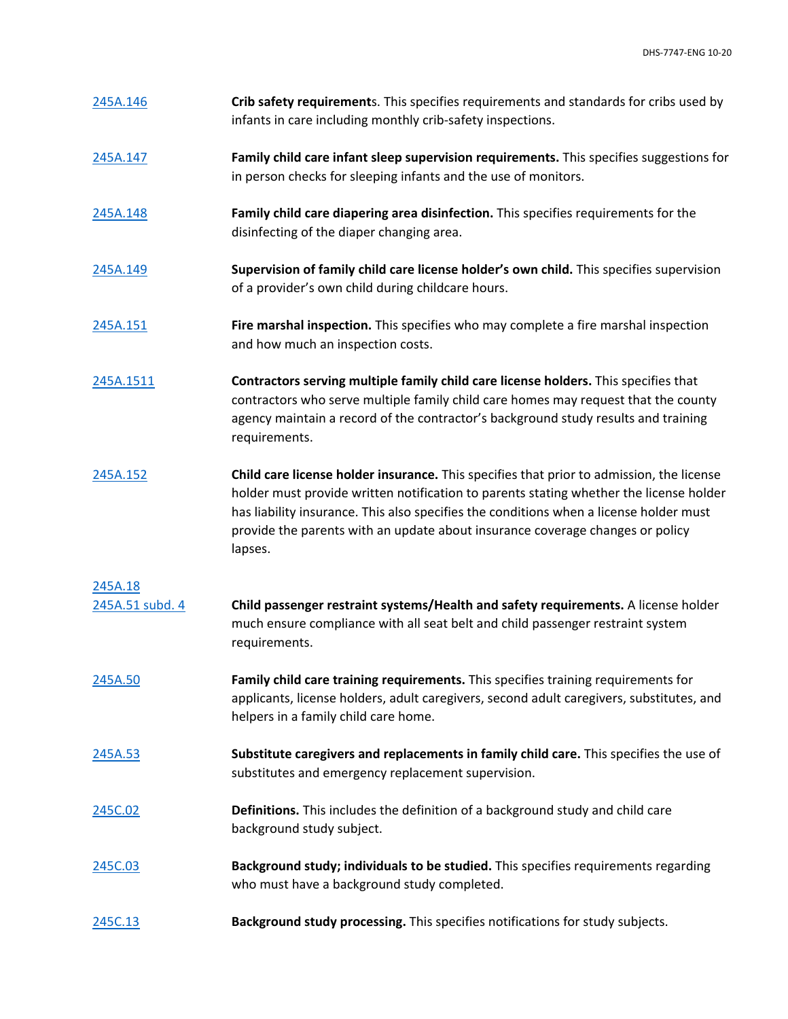| 245A.146 | Crib safety requirements. This specifies requirements and standards for cribs used by |
|----------|---------------------------------------------------------------------------------------|
|          | infants in care including monthly crib-safety inspections.                            |

- [245A.147](https://www.revisor.mn.gov/statutes/cite/245A.147) **Family child care infant sleep supervision requirements.** This specifies suggestions for in person checks for sleeping infants and the use of monitors.
- [245A.148](https://www.revisor.mn.gov/statutes/cite/245A.148) **Family child care diapering area disinfection.** This specifies requirements for the disinfecting of the diaper changing area.
- [245A.149](https://www.revisor.mn.gov/statutes/cite/245A.149) **Supervision of family child care license holder's own child.** This specifies supervision of a provider's own child during childcare hours.
- [245A.151](https://www.revisor.mn.gov/statutes/cite/245A.151) **Fire marshal inspection.** This specifies who may complete a fire marshal inspection and how much an inspection costs.
- [245A.1511](https://www.revisor.mn.gov/statutes/cite/245A.1511) **Contractors serving multiple family child care license holders.** This specifies that contractors who serve multiple family child care homes may request that the county agency maintain a record of the contractor's background study results and training requirements.
- [245A.152](https://www.revisor.mn.gov/statutes/cite/245A.152) **Child care license holder insurance.** This specifies that prior to admission, the license holder must provide written notification to parents stating whether the license holder has liability insurance. This also specifies the conditions when a license holder must provide the parents with an update about insurance coverage changes or policy lapses.

## [245A.18](https://www.revisor.mn.gov/statutes/cite/245A.18)

| 245A.51 subd. 4 | Child passenger restraint systems/Health and safety requirements. A license holder |
|-----------------|------------------------------------------------------------------------------------|
|                 | much ensure compliance with all seat belt and child passenger restraint system     |
|                 | requirements.                                                                      |

- [245A.50](https://www.revisor.mn.gov/statutes/cite/245A.50) **Family child care training requirements.** This specifies training requirements for applicants, license holders, adult caregivers, second adult caregivers, substitutes, and helpers in a family child care home.
- [245A.53](https://www.revisor.mn.gov/statutes/cite/245A.53) **Substitute caregivers and replacements in family child care.** This specifies the use of substitutes and emergency replacement supervision.
- [245C.02](https://www.revisor.mn.gov/statutes/cite/245C.02) **Definitions.** This includes the definition of a background study and child care background study subject.
- [245C.03](https://www.revisor.mn.gov/statutes/cite/245C.03) **Background study; individuals to be studied.** This specifies requirements regarding who must have a background study completed.
- [245C.13](https://www.revisor.mn.gov/statutes/cite/245C.13) **Background study processing.** This specifies notifications for study subjects.